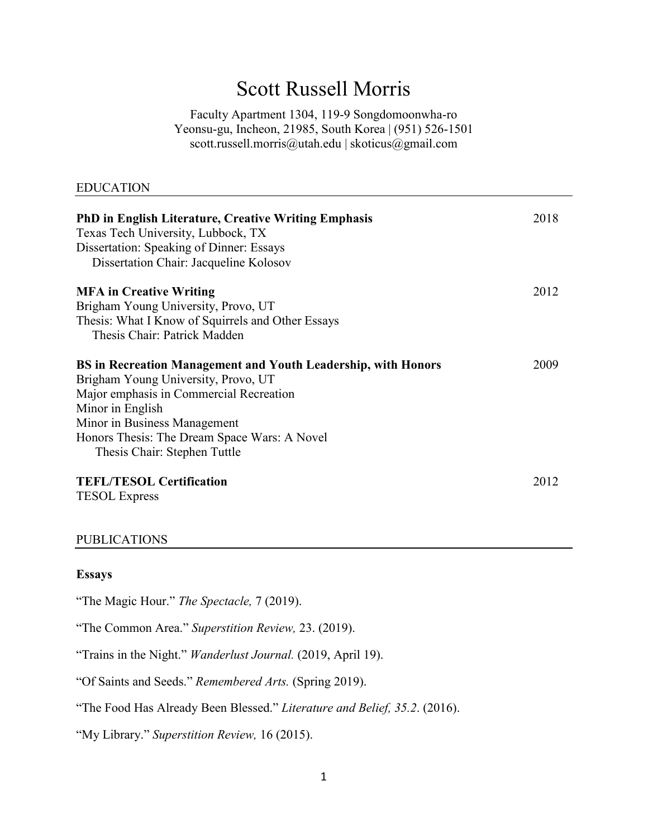# Scott Russell Morris

Faculty Apartment 1304, 119-9 Songdomoonwha-ro Yeonsu-gu, Incheon, 21985, South Korea | (951) 526-1501 scott.russell.morris@utah.edu | skoticus@gmail.com

### EDUCATION

| <b>PhD in English Literature, Creative Writing Emphasis</b><br>Texas Tech University, Lubbock, TX<br>Dissertation: Speaking of Dinner: Essays<br>Dissertation Chair: Jacqueline Kolosov | 2018 |
|-----------------------------------------------------------------------------------------------------------------------------------------------------------------------------------------|------|
| <b>MFA in Creative Writing</b>                                                                                                                                                          | 2012 |
| Brigham Young University, Provo, UT                                                                                                                                                     |      |
| Thesis: What I Know of Squirrels and Other Essays                                                                                                                                       |      |
| Thesis Chair: Patrick Madden                                                                                                                                                            |      |
| <b>BS</b> in Recreation Management and Youth Leadership, with Honors                                                                                                                    | 2009 |
| Brigham Young University, Provo, UT                                                                                                                                                     |      |
| Major emphasis in Commercial Recreation                                                                                                                                                 |      |
| Minor in English                                                                                                                                                                        |      |
| Minor in Business Management                                                                                                                                                            |      |
| Honors Thesis: The Dream Space Wars: A Novel                                                                                                                                            |      |
| Thesis Chair: Stephen Tuttle                                                                                                                                                            |      |
| <b>TEFL/TESOL Certification</b>                                                                                                                                                         | 2012 |
| <b>TESOL</b> Express                                                                                                                                                                    |      |
|                                                                                                                                                                                         |      |

### PUBLICATIONS

### **Essays**

"The Magic Hour." *The Spectacle,* 7 (2019).

"The Common Area." *Superstition Review,* 23. (2019).

"Trains in the Night." *Wanderlust Journal.* (2019, April 19).

"Of Saints and Seeds." *Remembered Arts.* (Spring 2019).

"The Food Has Already Been Blessed." *Literature and Belief, 35.2*. (2016).

"My Library." *Superstition Review,* 16 (2015).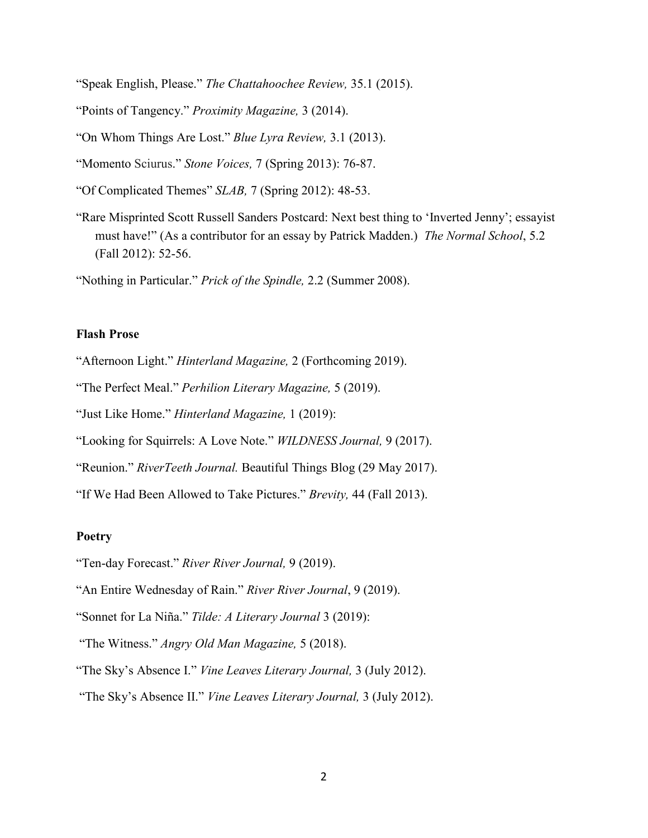- "Speak English, Please." *The Chattahoochee Review,* 35.1 (2015).
- "Points of Tangency." *Proximity Magazine,* 3 (2014).
- "On Whom Things Are Lost." *Blue Lyra Review,* 3.1 (2013).
- "Momento Sciurus." *Stone Voices,* 7 (Spring 2013): 76-87.
- "Of Complicated Themes" *SLAB,* 7 (Spring 2012): 48-53.
- "Rare Misprinted Scott Russell Sanders Postcard: Next best thing to 'Inverted Jenny'; essayist must have!" (As a contributor for an essay by Patrick Madden.) *The Normal School*, 5.2 (Fall 2012): 52-56.
- "Nothing in Particular." *Prick of the Spindle,* 2.2 (Summer 2008).

## **Flash Prose**

- "Afternoon Light." *Hinterland Magazine,* 2 (Forthcoming 2019).
- "The Perfect Meal." *Perhilion Literary Magazine,* 5 (2019).
- "Just Like Home." *Hinterland Magazine,* 1 (2019):
- "Looking for Squirrels: A Love Note." *WILDNESS Journal,* 9 (2017).
- "Reunion." *RiverTeeth Journal.* Beautiful Things Blog (29 May 2017).
- "If We Had Been Allowed to Take Pictures." *Brevity,* 44 (Fall 2013).

## **Poetry**

- "Ten-day Forecast." *River River Journal,* 9 (2019).
- "An Entire Wednesday of Rain." *River River Journal*, 9 (2019).
- "Sonnet for La Niña." *Tilde: A Literary Journal* 3 (2019):
- "The Witness." *Angry Old Man Magazine,* 5 (2018).
- "The Sky's Absence I." *Vine Leaves Literary Journal,* 3 (July 2012).
- "The Sky's Absence II." *Vine Leaves Literary Journal,* 3 (July 2012).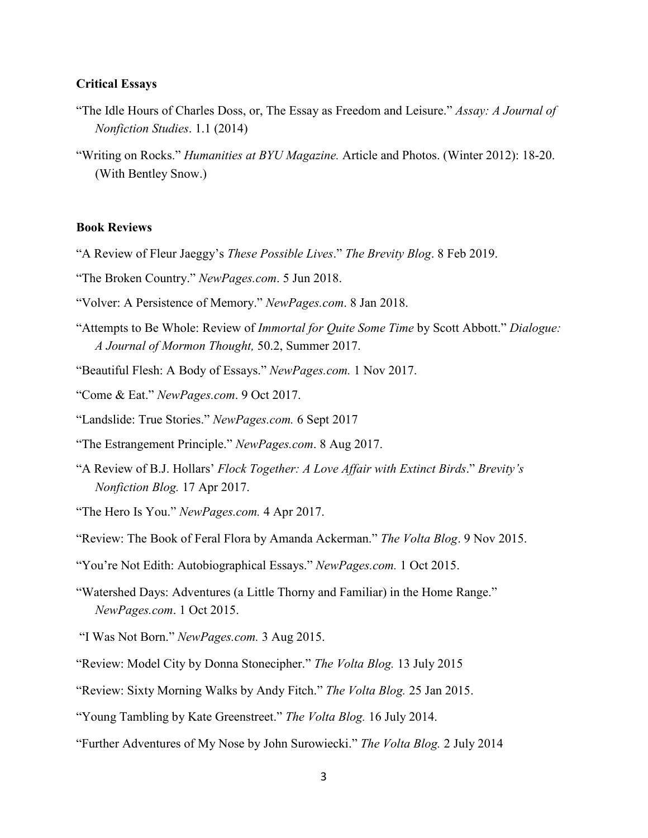### **Critical Essays**

- "The Idle Hours of Charles Doss, or, The Essay as Freedom and Leisure." *Assay: A Journal of Nonfiction Studies*. 1.1 (2014)
- "Writing on Rocks." *Humanities at BYU Magazine.* Article and Photos. (Winter 2012): 18-20. (With Bentley Snow.)

## **Book Reviews**

- "A Review of Fleur Jaeggy's *These Possible Lives*." *The Brevity Blog*. 8 Feb 2019.
- "The Broken Country." *NewPages.com*. 5 Jun 2018.
- "Volver: A Persistence of Memory." *NewPages.com*. 8 Jan 2018.
- "Attempts to Be Whole: Review of *Immortal for Quite Some Time* by Scott Abbott." *Dialogue: A Journal of Mormon Thought,* 50.2, Summer 2017.
- "Beautiful Flesh: A Body of Essays." *NewPages.com.* 1 Nov 2017.
- "Come & Eat." *NewPages.com*. 9 Oct 2017.
- "Landslide: True Stories." *NewPages.com.* 6 Sept 2017
- "The Estrangement Principle." *NewPages.com*. 8 Aug 2017.
- "A Review of B.J. Hollars' *Flock Together: A Love Affair with Extinct Birds*." *Brevity's Nonfiction Blog.* 17 Apr 2017.
- "The Hero Is You." *NewPages.com.* 4 Apr 2017.
- "Review: The Book of Feral Flora by Amanda Ackerman." *The Volta Blog*. 9 Nov 2015.
- "You're Not Edith: Autobiographical Essays." *NewPages.com.* 1 Oct 2015.
- "Watershed Days: Adventures (a Little Thorny and Familiar) in the Home Range." *NewPages.com*. 1 Oct 2015.
- "I Was Not Born." *NewPages.com.* 3 Aug 2015.
- "Review: Model City by Donna Stonecipher." *The Volta Blog.* 13 July 2015
- "Review: Sixty Morning Walks by Andy Fitch." *The Volta Blog.* 25 Jan 2015.
- "Young Tambling by Kate Greenstreet." *The Volta Blog.* 16 July 2014.
- "Further Adventures of My Nose by John Surowiecki." *The Volta Blog.* 2 July 2014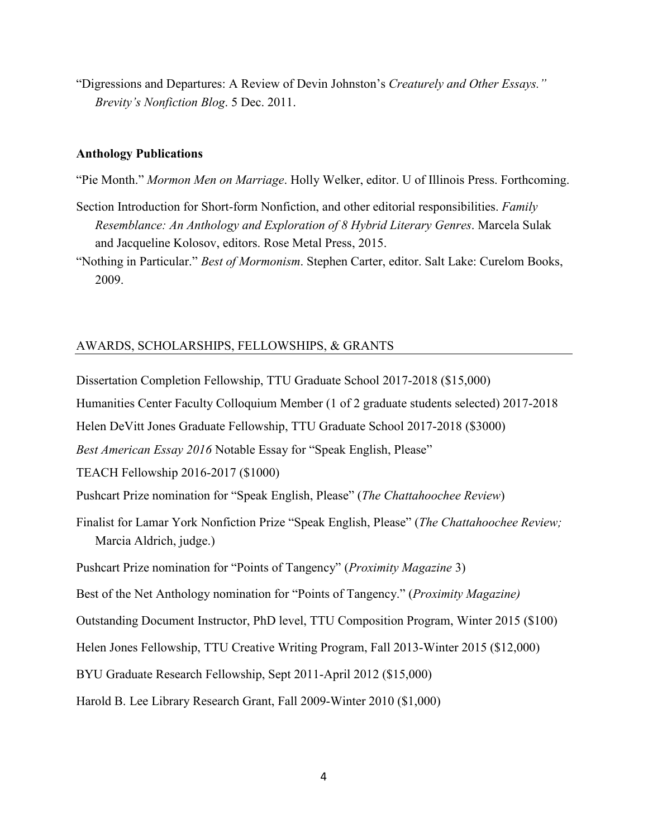"Digressions and Departures: A Review of Devin Johnston's *Creaturely and Other Essays." Brevity's Nonfiction Blog*. 5 Dec. 2011.

### **Anthology Publications**

"Pie Month." *Mormon Men on Marriage*. Holly Welker, editor. U of Illinois Press. Forthcoming.

- Section Introduction for Short-form Nonfiction, and other editorial responsibilities. *Family Resemblance: An Anthology and Exploration of 8 Hybrid Literary Genres*. Marcela Sulak and Jacqueline Kolosov, editors. Rose Metal Press, 2015.
- "Nothing in Particular." *Best of Mormonism*. Stephen Carter, editor. Salt Lake: Curelom Books, 2009.

### AWARDS, SCHOLARSHIPS, FELLOWSHIPS, & GRANTS

Dissertation Completion Fellowship, TTU Graduate School 2017-2018 (\$15,000)

Humanities Center Faculty Colloquium Member (1 of 2 graduate students selected) 2017-2018

Helen DeVitt Jones Graduate Fellowship, TTU Graduate School 2017-2018 (\$3000)

*Best American Essay 2016* Notable Essay for "Speak English, Please"

TEACH Fellowship 2016-2017 (\$1000)

Pushcart Prize nomination for "Speak English, Please" (*The Chattahoochee Review*)

Finalist for Lamar York Nonfiction Prize "Speak English, Please" (*The Chattahoochee Review;*  Marcia Aldrich, judge.)

Pushcart Prize nomination for "Points of Tangency" (*Proximity Magazine* 3)

Best of the Net Anthology nomination for "Points of Tangency." (*Proximity Magazine)* 

Outstanding Document Instructor, PhD level, TTU Composition Program, Winter 2015 (\$100)

Helen Jones Fellowship, TTU Creative Writing Program, Fall 2013-Winter 2015 (\$12,000)

BYU Graduate Research Fellowship, Sept 2011-April 2012 (\$15,000)

Harold B. Lee Library Research Grant, Fall 2009-Winter 2010 (\$1,000)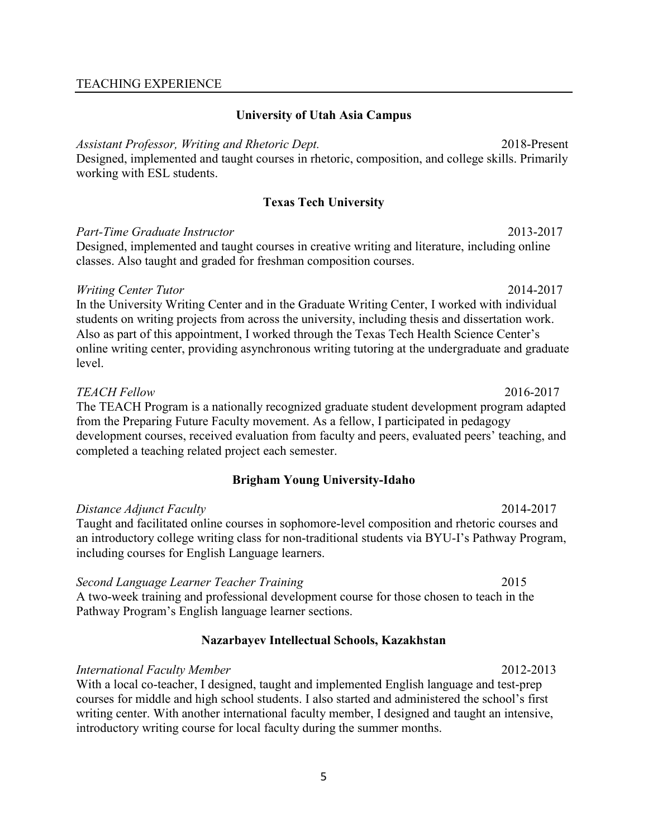## TEACHING EXPERIENCE

## **University of Utah Asia Campus**

*Assistant Professor, Writing and Rhetoric Dept.*2018-Present Designed, implemented and taught courses in rhetoric, composition, and college skills. Primarily working with ESL students.

## **Texas Tech University**

## *Part-Time Graduate Instructor*2013-2017

Designed, implemented and taught courses in creative writing and literature, including online classes. Also taught and graded for freshman composition courses.

## *Writing Center Tutor* 2014-2017

In the University Writing Center and in the Graduate Writing Center, I worked with individual students on writing projects from across the university, including thesis and dissertation work. Also as part of this appointment, I worked through the Texas Tech Health Science Center's online writing center, providing asynchronous writing tutoring at the undergraduate and graduate level.

### *TEACH Fellow* 2016-2017

The TEACH Program is a nationally recognized graduate student development program adapted from the Preparing Future Faculty movement. As a fellow, I participated in pedagogy development courses, received evaluation from faculty and peers, evaluated peers' teaching, and completed a teaching related project each semester.

## **Brigham Young University-Idaho**

*Distance Adjunct Faculty* 2014-2017 Taught and facilitated online courses in sophomore-level composition and rhetoric courses and an introductory college writing class for non-traditional students via BYU-I's Pathway Program, including courses for English Language learners.

## *Second Language Learner Teacher Training* 2015

A two-week training and professional development course for those chosen to teach in the Pathway Program's English language learner sections.

## **Nazarbayev Intellectual Schools, Kazakhstan**

## *International Faculty Member* 2012-2013

With a local co-teacher, I designed, taught and implemented English language and test-prep courses for middle and high school students. I also started and administered the school's first writing center. With another international faculty member, I designed and taught an intensive, introductory writing course for local faculty during the summer months.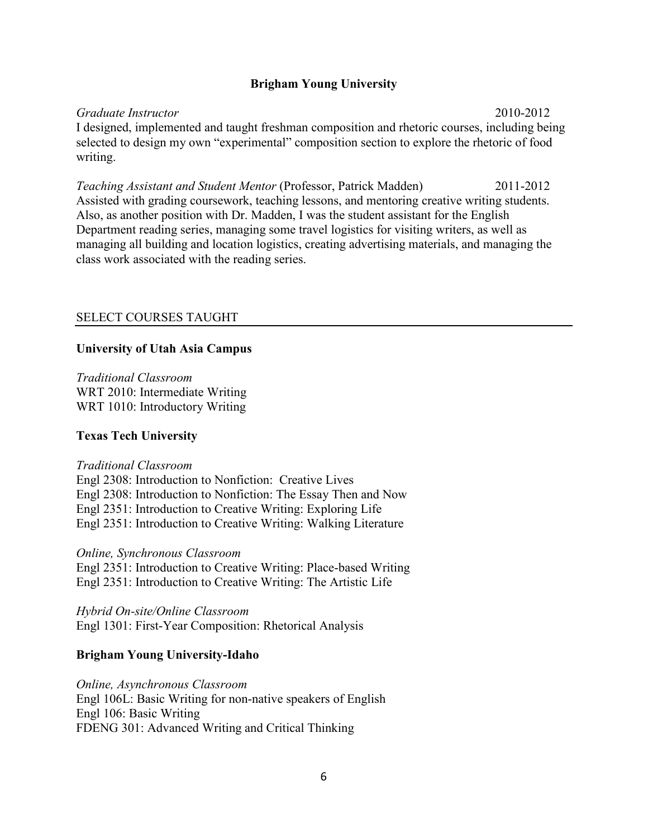## **Brigham Young University**

*Graduate Instructor* 2010-2012 I designed, implemented and taught freshman composition and rhetoric courses, including being selected to design my own "experimental" composition section to explore the rhetoric of food writing.

*Teaching Assistant and Student Mentor* (Professor, Patrick Madden) 2011-2012 Assisted with grading coursework, teaching lessons, and mentoring creative writing students. Also, as another position with Dr. Madden, I was the student assistant for the English Department reading series, managing some travel logistics for visiting writers, as well as managing all building and location logistics, creating advertising materials, and managing the class work associated with the reading series.

## SELECT COURSES TAUGHT

## **University of Utah Asia Campus**

*Traditional Classroom* WRT 2010: Intermediate Writing WRT 1010: Introductory Writing

## **Texas Tech University**

### *Traditional Classroom*

Engl 2308: Introduction to Nonfiction: Creative Lives Engl 2308: Introduction to Nonfiction: The Essay Then and Now Engl 2351: Introduction to Creative Writing: Exploring Life Engl 2351: Introduction to Creative Writing: Walking Literature

*Online, Synchronous Classroom*  Engl 2351: Introduction to Creative Writing: Place-based Writing Engl 2351: Introduction to Creative Writing: The Artistic Life

*Hybrid On-site/Online Classroom*  Engl 1301: First-Year Composition: Rhetorical Analysis

## **Brigham Young University-Idaho**

*Online, Asynchronous Classroom* Engl 106L: Basic Writing for non-native speakers of English Engl 106: Basic Writing FDENG 301: Advanced Writing and Critical Thinking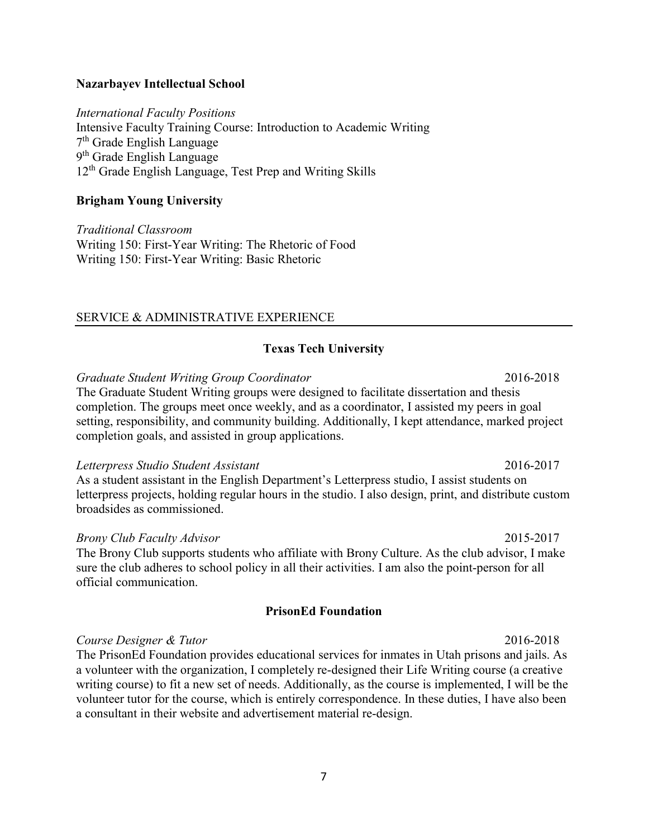## **Nazarbayev Intellectual School**

*International Faculty Positions*  Intensive Faculty Training Course: Introduction to Academic Writing 7th Grade English Language 9th Grade English Language 12<sup>th</sup> Grade English Language, Test Prep and Writing Skills

## **Brigham Young University**

*Traditional Classroom* Writing 150: First-Year Writing: The Rhetoric of Food Writing 150: First-Year Writing: Basic Rhetoric

## SERVICE & ADMINISTRATIVE EXPERIENCE

## **Texas Tech University**

*Graduate Student Writing Group Coordinator* 2016-2018

The Graduate Student Writing groups were designed to facilitate dissertation and thesis completion. The groups meet once weekly, and as a coordinator, I assisted my peers in goal setting, responsibility, and community building. Additionally, I kept attendance, marked project completion goals, and assisted in group applications.

## *Letterpress Studio Student Assistant* 2016-2017

As a student assistant in the English Department's Letterpress studio, I assist students on letterpress projects, holding regular hours in the studio. I also design, print, and distribute custom broadsides as commissioned.

## *Brony Club Faculty Advisor* 2015-2017

The Brony Club supports students who affiliate with Brony Culture. As the club advisor, I make sure the club adheres to school policy in all their activities. I am also the point-person for all official communication.

## **PrisonEd Foundation**

## *Course Designer & Tutor* 2016-2018

The PrisonEd Foundation provides educational services for inmates in Utah prisons and jails. As a volunteer with the organization, I completely re-designed their Life Writing course (a creative writing course) to fit a new set of needs. Additionally, as the course is implemented, I will be the volunteer tutor for the course, which is entirely correspondence. In these duties, I have also been a consultant in their website and advertisement material re-design.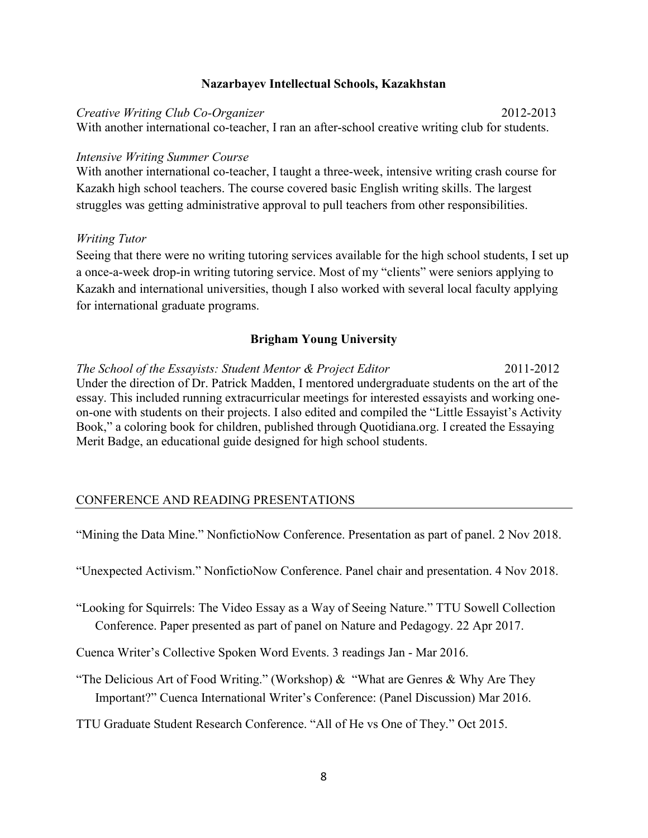## **Nazarbayev Intellectual Schools, Kazakhstan**

*Creative Writing Club Co-Organizer* 2012-2013 With another international co-teacher, I ran an after-school creative writing club for students.

## *Intensive Writing Summer Course*

With another international co-teacher, I taught a three-week, intensive writing crash course for Kazakh high school teachers. The course covered basic English writing skills. The largest struggles was getting administrative approval to pull teachers from other responsibilities.

## *Writing Tutor*

Seeing that there were no writing tutoring services available for the high school students, I set up a once-a-week drop-in writing tutoring service. Most of my "clients" were seniors applying to Kazakh and international universities, though I also worked with several local faculty applying for international graduate programs.

## **Brigham Young University**

*The School of the Essayists: Student Mentor & Project Editor* 2011-2012 Under the direction of Dr. Patrick Madden, I mentored undergraduate students on the art of the essay. This included running extracurricular meetings for interested essayists and working oneon-one with students on their projects. I also edited and compiled the "Little Essayist's Activity Book," a coloring book for children, published through Quotidiana.org. I created the Essaying Merit Badge, an educational guide designed for high school students.

## CONFERENCE AND READING PRESENTATIONS

"Mining the Data Mine." NonfictioNow Conference. Presentation as part of panel. 2 Nov 2018.

"Unexpected Activism." NonfictioNow Conference. Panel chair and presentation. 4 Nov 2018.

"Looking for Squirrels: The Video Essay as a Way of Seeing Nature." TTU Sowell Collection Conference. Paper presented as part of panel on Nature and Pedagogy. 22 Apr 2017.

Cuenca Writer's Collective Spoken Word Events. 3 readings Jan - Mar 2016.

"The Delicious Art of Food Writing." (Workshop)  $\&$  "What are Genres  $\&$  Why Are They Important?" Cuenca International Writer's Conference: (Panel Discussion) Mar 2016.

TTU Graduate Student Research Conference. "All of He vs One of They." Oct 2015.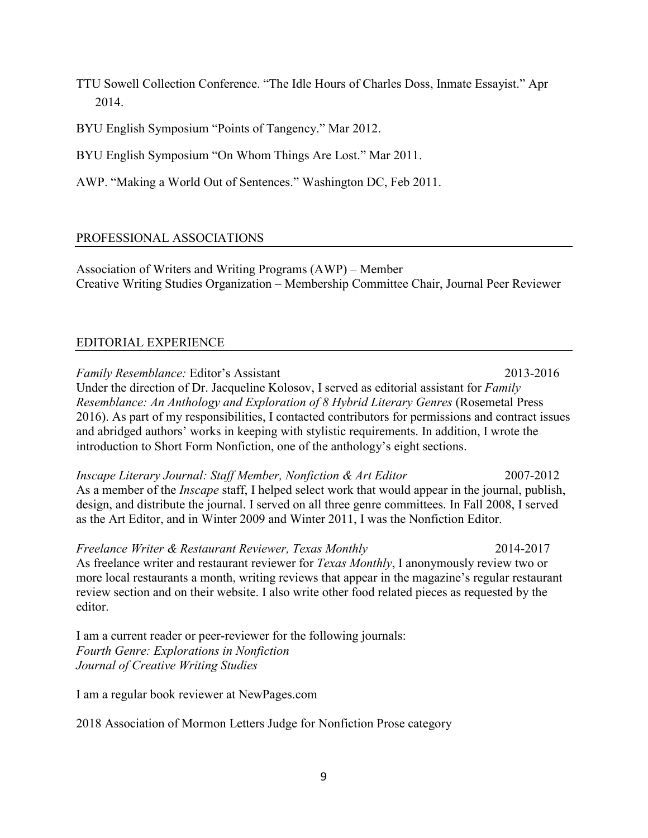TTU Sowell Collection Conference. "The Idle Hours of Charles Doss, Inmate Essayist." Apr 2014.

BYU English Symposium "Points of Tangency." Mar 2012.

BYU English Symposium "On Whom Things Are Lost." Mar 2011.

AWP. "Making a World Out of Sentences." Washington DC, Feb 2011.

## PROFESSIONAL ASSOCIATIONS

Association of Writers and Writing Programs (AWP) – Member Creative Writing Studies Organization – Membership Committee Chair, Journal Peer Reviewer

## EDITORIAL EXPERIENCE

*Family Resemblance:* Editor's Assistant2013-2016 Under the direction of Dr. Jacqueline Kolosov, I served as editorial assistant for *Family Resemblance: An Anthology and Exploration of 8 Hybrid Literary Genres (Rosemetal Press* 2016). As part of my responsibilities, I contacted contributors for permissions and contract issues and abridged authors' works in keeping with stylistic requirements. In addition, I wrote the introduction to Short Form Nonfiction, one of the anthology's eight sections.

*Inscape Literary Journal: Staff Member, Nonfiction & Art Editor* 2007-2012 As a member of the *Inscape* staff, I helped select work that would appear in the journal, publish, design, and distribute the journal. I served on all three genre committees. In Fall 2008, I served as the Art Editor, and in Winter 2009 and Winter 2011, I was the Nonfiction Editor.

*Freelance Writer & Restaurant Reviewer, Texas Monthly* 2014-2017 As freelance writer and restaurant reviewer for *Texas Monthly*, I anonymously review two or more local restaurants a month, writing reviews that appear in the magazine's regular restaurant review section and on their website. I also write other food related pieces as requested by the editor.

I am a current reader or peer-reviewer for the following journals: *Fourth Genre: Explorations in Nonfiction Journal of Creative Writing Studies* 

I am a regular book reviewer at NewPages.com

2018 Association of Mormon Letters Judge for Nonfiction Prose category